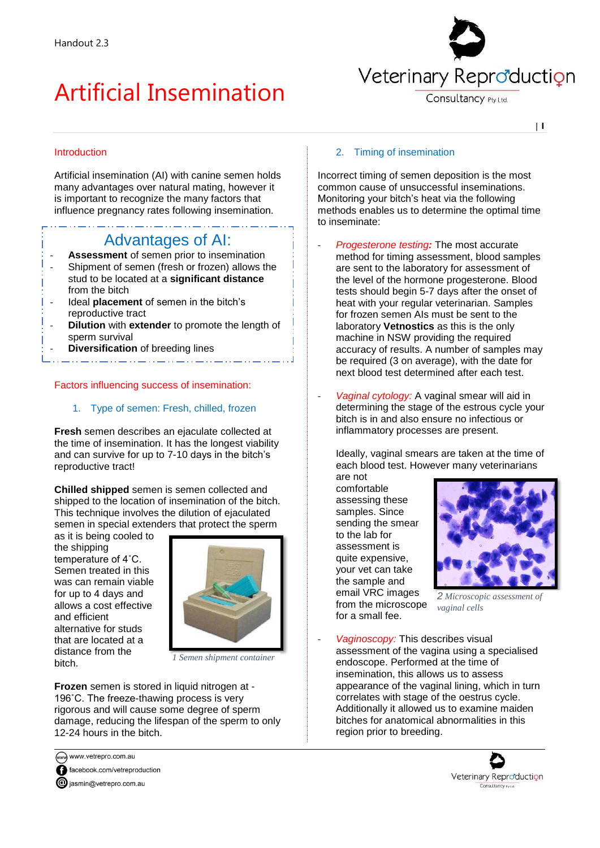# Artificial Insemination



Consultancy Pty Ltd

| **1**

## Introduction

Artificial insemination (AI) with canine semen holds many advantages over natural mating, however it is important to recognize the many factors that influence pregnancy rates following insemination.

# Advantages of AI:

- **Assessment** of semen prior to insemination
- Shipment of semen (fresh or frozen) allows the stud to be located at a **significant distance** from the bitch
- Ideal **placement** of semen in the bitch's reproductive tract
- **Dilution** with **extender** to promote the length of sperm survival
- **Diversification** of breeding lines

#### Factors influencing success of insemination:

1. Type of semen: Fresh, chilled, frozen

**Fresh** semen describes an ejaculate collected at the time of insemination. It has the longest viability and can survive for up to 7-10 days in the bitch's reproductive tract!

**Chilled shipped** semen is semen collected and shipped to the location of insemination of the bitch. This technique involves the dilution of ejaculated semen in special extenders that protect the sperm

as it is being cooled to the shipping temperature of 4˚C. Semen treated in this was can remain viable for up to 4 days and allows a cost effective and efficient alternative for studs that are located at a distance from the bitch.



*1 Semen shipment container*

**Frozen** semen is stored in liquid nitrogen at - 196˚C. The freeze-thawing process is very rigorous and will cause some degree of sperm damage, reducing the lifespan of the sperm to only 12-24 hours in the bitch.

www.vetrepro.com.au facebook.com/vetreproduction

**@** jasmin@vetrepro.com.au

#### 2. Timing of insemination

Incorrect timing of semen deposition is the most common cause of unsuccessful inseminations. Monitoring your bitch's heat via the following methods enables us to determine the optimal time to inseminate:

- *Progesterone testing:* The most accurate method for timing assessment, blood samples are sent to the laboratory for assessment of the level of the hormone progesterone. Blood tests should begin 5-7 days after the onset of heat with your regular veterinarian. Samples for frozen semen AIs must be sent to the laboratory **Vetnostics** as this is the only machine in NSW providing the required accuracy of results. A number of samples may be required (3 on average), with the date for next blood test determined after each test.
- Vaginal cytology: A vaginal smear will aid in determining the stage of the estrous cycle your bitch is in and also ensure no infectious or inflammatory processes are present.

Ideally, vaginal smears are taken at the time of each blood test. However many veterinarians

are not comfortable assessing these samples. Since sending the smear to the lab for assessment is quite expensive, your vet can take the sample and email VRC images from the microscope for a small fee.



*2 Microscopic assessment of vaginal cells*

- *Vaginoscopy:* This describes visual assessment of the vagina using a specialised endoscope. Performed at the time of insemination, this allows us to assess appearance of the vaginal lining, which in turn correlates with stage of the oestrus cycle. Additionally it allowed us to examine maiden bitches for anatomical abnormalities in this region prior to breeding.